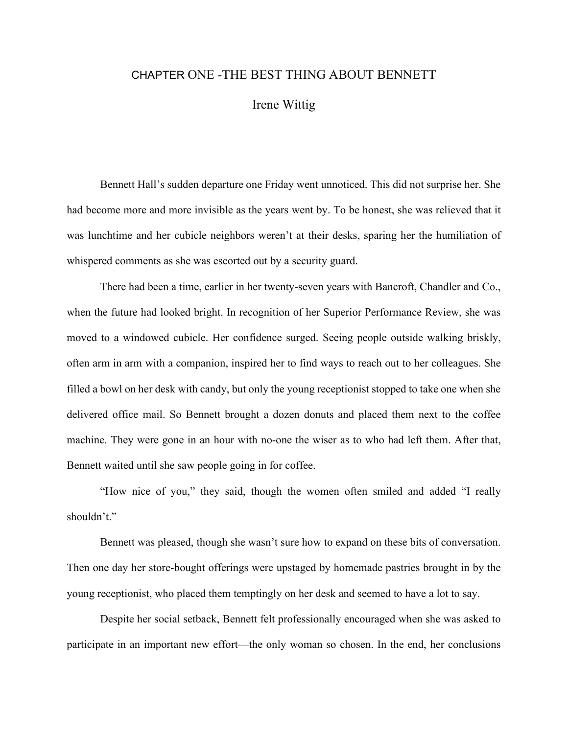## CHAPTER ONE -THE BEST THING ABOUT BENNETT

Irene Wittig

 Bennett Hall's sudden departure one Friday went unnoticed. This did not surprise her. She had become more and more invisible as the years went by. To be honest, she was relieved that it was lunchtime and her cubicle neighbors weren't at their desks, sparing her the humiliation of whispered comments as she was escorted out by a security guard.

 There had been a time, earlier in her twenty-seven years with Bancroft, Chandler and Co., when the future had looked bright. In recognition of her Superior Performance Review, she was moved to a windowed cubicle. Her confidence surged. Seeing people outside walking briskly, often arm in arm with a companion, inspired her to find ways to reach out to her colleagues. She filled a bowl on her desk with candy, but only the young receptionist stopped to take one when she delivered office mail. So Bennett brought a dozen donuts and placed them next to the coffee machine. They were gone in an hour with no-one the wiser as to who had left them. After that, Bennett waited until she saw people going in for coffee.

 "How nice of you," they said, though the women often smiled and added "I really shouldn't."

 Bennett was pleased, though she wasn't sure how to expand on these bits of conversation. Then one day her store-bought offerings were upstaged by homemade pastries brought in by the young receptionist, who placed them temptingly on her desk and seemed to have a lot to say.

 Despite her social setback, Bennett felt professionally encouraged when she was asked to participate in an important new effort—the only woman so chosen. In the end, her conclusions